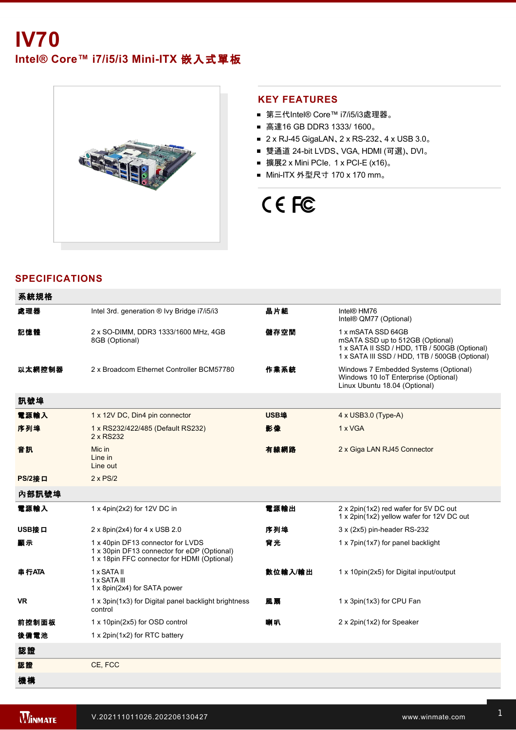# **IV70**

Intel® Core™ i7/i5/i3 Mini-ITX 嵌入式單板



#### **KEY FEATURES**

- 第三代Intel® Core™ i7/i5/i3處理器。
- 高達16 GB DDR3 1333/ 1600。
- 2 x RJ-45 GigaLAN、2 x RS-232、4 x USB 3.0。
- 雙通道 24-bit LVDS、VGA, HDMI (可選)、DVI。
- 擴展2 x Mini PCIe,  $1 \times$  PCI-E (x16)。
- Mini-ITX 外型尺寸 170 x 170 mm。

## CE FC

#### **SPECIFICATIONS**

| 系統規格          |                                                                                                                                 |             |                                                                                                                                                           |  |
|---------------|---------------------------------------------------------------------------------------------------------------------------------|-------------|-----------------------------------------------------------------------------------------------------------------------------------------------------------|--|
| 處理器           | Intel 3rd. generation ® Ivy Bridge i7/i5/i3                                                                                     | 晶片組         | Intel® HM76<br>Intel® QM77 (Optional)                                                                                                                     |  |
| 記憶體           | 2 x SO-DIMM, DDR3 1333/1600 MHz, 4GB<br>8GB (Optional)                                                                          | 儲存空間        | 1 x mSATA SSD 64GB<br>mSATA SSD up to 512GB (Optional)<br>1 x SATA II SSD / HDD, 1TB / 500GB (Optional)<br>1 x SATA III SSD / HDD, 1TB / 500GB (Optional) |  |
| 以太網控制器        | 2 x Broadcom Ethernet Controller BCM57780                                                                                       | 作業系統        | Windows 7 Embedded Systems (Optional)<br>Windows 10 IoT Enterprise (Optional)<br>Linux Ubuntu 18.04 (Optional)                                            |  |
| 訊號埠           |                                                                                                                                 |             |                                                                                                                                                           |  |
| 電源輸入          | 1 x 12V DC, Din4 pin connector                                                                                                  | <b>USB埠</b> | $4 \times$ USB3.0 (Type-A)                                                                                                                                |  |
| 序列埠           | 1 x RS232/422/485 (Default RS232)<br>2 x RS232                                                                                  | 影像          | 1 x VGA                                                                                                                                                   |  |
| 音訊            | Mic in<br>Line in<br>Line out                                                                                                   | 有線網路        | 2 x Giga LAN RJ45 Connector                                                                                                                               |  |
| <b>PS/2接口</b> | $2 \times PS/2$                                                                                                                 |             |                                                                                                                                                           |  |
| 內部訊號埠         |                                                                                                                                 |             |                                                                                                                                                           |  |
| 電源輸入          | 1 x 4pin(2x2) for 12V DC in                                                                                                     | 電源輸出        | 2 x 2pin(1x2) red wafer for 5V DC out<br>1 x 2pin(1x2) yellow wafer for 12V DC out                                                                        |  |
| USB接口         | 2 x 8pin(2x4) for 4 x USB 2.0                                                                                                   | 序列埠         | 3 x (2x5) pin-header RS-232                                                                                                                               |  |
| 顧示            | 1 x 40pin DF13 connector for LVDS<br>1 x 30pin DF13 connector for eDP (Optional)<br>1 x 18pin FFC connector for HDMI (Optional) | 背光          | 1 x 7pin(1x7) for panel backlight                                                                                                                         |  |
| 串行ATA         | 1 x SATA II<br>1 x SATA III<br>1 x 8pin(2x4) for SATA power                                                                     | 數位輸入/輸出     | 1 x 10pin(2x5) for Digital input/output                                                                                                                   |  |
| <b>VR</b>     | 1 x 3pin(1x3) for Digital panel backlight brightness<br>control                                                                 | 風扇          | 1 x 3pin(1x3) for CPU Fan                                                                                                                                 |  |
| 前控制面板         | 1 x 10pin(2x5) for OSD control                                                                                                  | 喇叭          | 2 x 2pin(1x2) for Speaker                                                                                                                                 |  |
| 後備電池          | 1 x 2pin(1x2) for RTC battery                                                                                                   |             |                                                                                                                                                           |  |
| 認證            |                                                                                                                                 |             |                                                                                                                                                           |  |
| 認證            | CE, FCC                                                                                                                         |             |                                                                                                                                                           |  |
| 機構            |                                                                                                                                 |             |                                                                                                                                                           |  |